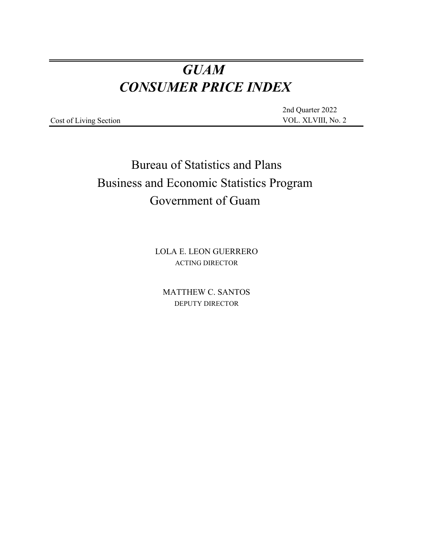# *GUAM CONSUMER PRICE INDEX*

Cost of Living Section VOL. XLVIII, No. 2

2nd Quarter 2022

Bureau of Statistics and Plans Business and Economic Statistics Program Government of Guam

> LOLA E. LEON GUERRERO ACTING DIRECTOR

DEPUTY DIRECTOR MATTHEW C. SANTOS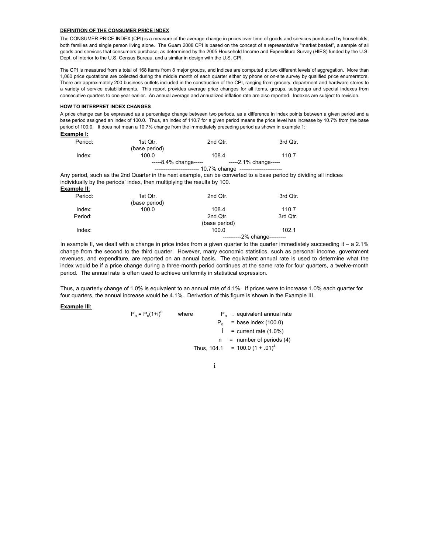#### **DEFINITION OF THE CONSUMER PRICE INDEX**

The CONSUMER PRICE INDEX (CPI) is a measure of the average change in prices over time of goods and services purchased by households, both families and single person living alone. The Guam 2008 CPI is based on the concept of a representative "market basket", a sample of all goods and services that consumers purchase, as determined by the 2005 Household Income and Expenditure Survey (HIES) funded by the U.S.<br>Dept. of Interior to the U.S. Census Bureau, and a similar in design with the U.S. CPI

1,060 price quotations are collected during the middle month of each quarter either by phone oron-site survey by qualified price enumerators. There are approximately 200 business outlets included in the construction of the CPI, ranging from grocery, department and hardware stores to a variety of service establishments. This report provides average price changes for all items, groups, subgroups and special indexes from consecutive quarters to one year earlier. An annual average and annualized inflation rate are also reported. Indexes are subject to revision.

#### **HOW TO INTERPRET INDEX CHANGES**

**Example I:** A price change can be expressed as a percentage change between two periods, as a difference in index points between a given period and a base period assigned an index of 100.0. Thus, an index of 110.7 for a given period means the price level has increase by 10.7% from the base period of 100.0. It does not mean a 10.7% change from the immediately preceding period as shown in example 1:

| uupic i. |                       |                                                             |          |
|----------|-----------------------|-------------------------------------------------------------|----------|
| Period:  | 1st Qtr.              | 2nd Qtr.                                                    | 3rd Qtr. |
|          | (base period)         |                                                             |          |
| Index:   | 100.0                 | 108.4                                                       | 110.7    |
|          | -----8.4% change----- | -----2.1% change-----                                       |          |
|          |                       | ----------------------- 10.7% change ---------------------- |          |

Any period, such as the 2nd Quarter in the next example, can be converted to a base period by dividing all indices individually by the periods' index, then multiplying the results by 100.

**Example II:**

| япре п. |               |                               |          |
|---------|---------------|-------------------------------|----------|
| Period: | 1st Qtr.      | 2nd Qtr.                      | 3rd Qtr. |
|         | (base period) |                               |          |
| Index:  | 100.0         | 108.4                         | 110.7    |
| Period: |               | 2nd Qtr.                      | 3rd Qtr. |
|         |               | (base period)                 |          |
| Index:  |               | 100.0                         | 102.1    |
|         |               | -----------2% change--------- |          |

In example II, we dealt with a change in price index from a given quarter to the quarter immediately succeeding it - a 2.1% change from the second to the third quarter. However, many economic statistics, such as personal income, government revenues, and expenditure, are reported on an annual basis. The equivalent annual rate is used to determine what the index would be if a price change during a three-month period continues at the same rate for four quarters, a twelve-month period. The annual rate is often used to achieve uniformity in statistical expression.

Thus, a quarterly change of 1.0% is equivalent to an annual rate of 4.1%. If prices were to increase 1.0% each quarter for four quarters, the annual increase would be 4.1%. Derivation of this figure is shown in the Example III.

#### **Example III:**

| $P_n = P_0(1+i)^n$ | where | $P_n =$ equivalent annual rate         |
|--------------------|-------|----------------------------------------|
|                    |       | $=$ base index (100.0)<br>$P_{\alpha}$ |
|                    |       | $i =$ current rate (1.0%)              |
|                    |       | $n =$ number of periods (4)            |
|                    |       | Thus, 104.1 = 100.0 $(1 + .01)^4$      |

i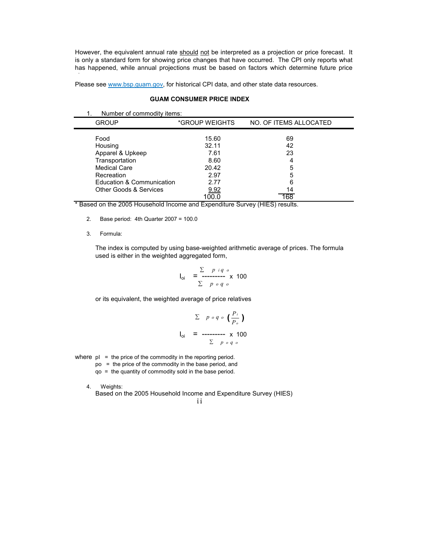However, the equivalent annual rate should not be interpreted as a projection or price forecast. It is only a standard form for showing price changes that have occurred. The CPI only reports what has happened, while annual projections must be based on factors which determine future price

Please see www.bsp.guam.gov, for historical CPI data, and other state data resources.

### **GUAM CONSUMER PRICE INDEX**

| Number of commodity items: |                |                        |
|----------------------------|----------------|------------------------|
| <b>GROUP</b>               | *GROUP WEIGHTS | NO. OF ITEMS ALLOCATED |
|                            |                |                        |
| Food                       | 15.60          | 69                     |
| Housing                    | 32.11          | 42                     |
| Apparel & Upkeep           | 7.61           | 23                     |
| Transportation             | 8.60           | 4                      |
| <b>Medical Care</b>        | 20.42          | 5                      |
| Recreation                 | 2.97           | 5                      |
| Education & Communication  | 2.77           | 6                      |
| Other Goods & Services     | 9.92           | 14                     |
|                            | 100.0          | 68                     |

\* Based on the 2005 Household Income and Expenditure Survey (HIES) results.

3. Formula:

changes.

The index is computed by using base-weighted arithmetic average of prices. The formula used is either in the weighted aggregated form,

$$
\mathbf{I}_{\text{oi}} = \frac{\sum p \text{ } iq \text{ } o}{\sum p \text{ } o \text{ } q \text{ } o}
$$

or its equivalent, the weighted average of price relatives

$$
\Sigma \quad p \circ q \circ \left(\frac{P_i}{P_o}\right)
$$
  

$$
I_{oi} = \frac{}{\Sigma} \quad p \circ q \circ \frac{}{\Sigma}
$$

where  $pi =$  the price of the commodity in the reporting period.

- po = the price of the commodity in the base period, and
- qo = the quantity of commodity sold in the base period.
- 4. Weights:

Based on the 2005 Household Income and Expenditure Survey (HIES)

$$
_{\rm ii}
$$

<sup>2.</sup> Base period: 4th Quarter 2007 = 100.0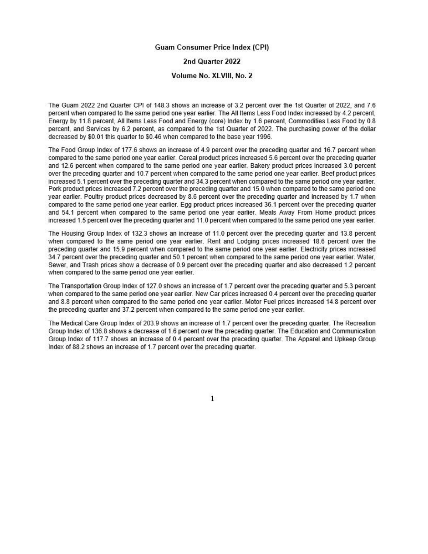### **Guam Consumer Price Index (CPI)**

#### 2nd Quarter 2022

#### Volume No. XLVIII, No. 2

The Guam 2022 2nd Quarter CPI of 148.3 shows an increase of 3.2 percent over the 1st Quarter of 2022, and 7.6 percent when compared to the same period one year earlier. The All Items Less Food Index increased by 4.2 percent. Energy by 11.8 percent. All Items Less Food and Energy (core) Index by 1.6 percent. Commodities Less Food by 0.8 percent, and Services by 6.2 percent, as compared to the 1st Quarter of 2022. The purchasing power of the dollar decreased by \$0.01 this quarter to \$0.46 when compared to the base year 1996.

The Food Group Index of 177.6 shows an increase of 4.9 percent over the preceding quarter and 16.7 percent when compared to the same period one year earlier. Cereal product prices increased 5.6 percent over the preceding quarter and 12.6 percent when compared to the same period one year earlier. Bakery product prices increased 3.0 percent over the preceding quarter and 10.7 percent when compared to the same period one year earlier. Beef product prices increased 5.1 percent over the preceding quarter and 34.3 percent when compared to the same period one year earlier. Pork product prices increased 7.2 percent over the preceding quarter and 15.0 when compared to the same period one year earlier. Poultry product prices decreased by 8.6 percent over the preceding quarter and increased by 1.7 when compared to the same period one year earlier. Egg product prices increased 36.1 percent over the preceding quarter and 54.1 percent when compared to the same period one year earlier. Meals Away From Home product prices increased 1.5 percent over the preceding quarter and 11.0 percent when compared to the same period one year earlier.

The Housing Group Index of 132.3 shows an increase of 11.0 percent over the preceding quarter and 13.8 percent when compared to the same period one year earlier. Rent and Lodging prices increased 18.6 percent over the preceding quarter and 15.9 percent when compared to the same period one year earlier. Electricity prices increased 34.7 percent over the preceding quarter and 50.1 percent when compared to the same period one year earlier. Water, Sewer, and Trash prices show a decrease of 0.9 percent over the preceding quarter and also decreased 1.2 percent when compared to the same period one year earlier.

The Transportation Group Index of 127.0 shows an increase of 1.7 percent over the preceding quarter and 5.3 percent when compared to the same period one year earlier. New Car prices increased 0.4 percent over the preceding quarter and 8.8 percent when compared to the same period one year earlier. Motor Fuel prices increased 14.8 percent over the preceding quarter and 37.2 percent when compared to the same period one year earlier.

The Medical Care Group Index of 203.9 shows an increase of 1.7 percent over the preceding quarter. The Recreation Group Index of 136.8 shows a decrease of 1.6 percent over the preceding quarter. The Education and Communication Group Index of 117.7 shows an increase of 0.4 percent over the preceding quarter. The Apparel and Upkeep Group Index of 88.2 shows an increase of 1.7 percent over the preceding quarter.

 $\mathbf{1}$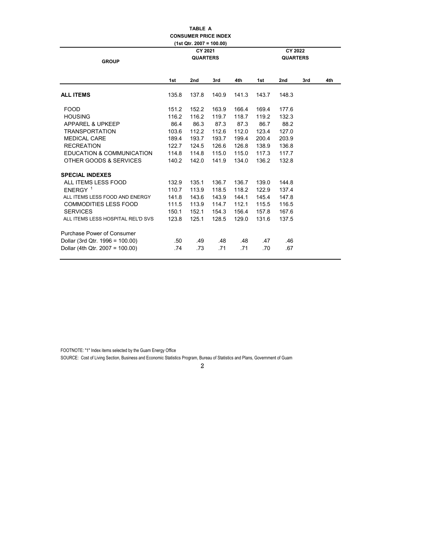| <b>GROUP</b>                      |       | $(1st Qtr. 2007 = 100.00)$<br>CY 2021<br><b>QUARTERS</b> |       |       | CY 2022<br><b>QUARTERS</b> |       |     |     |  |
|-----------------------------------|-------|----------------------------------------------------------|-------|-------|----------------------------|-------|-----|-----|--|
|                                   | 1st   | 2nd                                                      | 3rd   | 4th   | 1st                        | 2nd   | 3rd | 4th |  |
| <b>ALL ITEMS</b>                  | 135.8 | 137.8                                                    | 140.9 | 141.3 | 143.7                      | 148.3 |     |     |  |
| <b>FOOD</b>                       | 151.2 | 152.2                                                    | 163.9 | 166.4 | 169.4                      | 177.6 |     |     |  |
| <b>HOUSING</b>                    | 116.2 | 116.2                                                    | 119.7 | 118.7 | 119.2                      | 132.3 |     |     |  |
| APPAREL & UPKEEP                  | 86.4  | 86.3                                                     | 87.3  | 87.3  | 86.7                       | 88.2  |     |     |  |
| <b>TRANSPORTATION</b>             | 103.6 | 112.2                                                    | 112.6 | 112.0 | 123.4                      | 127.0 |     |     |  |
| <b>MEDICAL CARE</b>               | 189.4 | 193.7                                                    | 193.7 | 199.4 | 200.4                      | 203.9 |     |     |  |
| <b>RECREATION</b>                 | 122.7 | 124.5                                                    | 126.6 | 126.8 | 138.9                      | 136.8 |     |     |  |
| EDUCATION & COMMUNICATION         | 114.8 | 114.8                                                    | 115.0 | 115.0 | 117.3                      | 117.7 |     |     |  |
| OTHER GOODS & SERVICES            | 140.2 | 142.0                                                    | 141.9 | 134.0 | 136.2                      | 132.8 |     |     |  |
| <b>SPECIAL INDEXES</b>            |       |                                                          |       |       |                            |       |     |     |  |
| ALL ITEMS LESS FOOD               | 132.9 | 135.1                                                    | 136.7 | 136.7 | 139.0                      | 144.8 |     |     |  |
| $ENERGY$ <sup>1</sup>             | 110.7 | 113.9                                                    | 118.5 | 118.2 | 122.9                      | 137.4 |     |     |  |
| ALL ITEMS LESS FOOD AND ENERGY    | 141.8 | 143.6                                                    | 143.9 | 144.1 | 145.4                      | 147.8 |     |     |  |
| <b>COMMODITIES LESS FOOD</b>      | 111.5 | 113.9                                                    | 114.7 | 112.1 | 115.5                      | 116.5 |     |     |  |
| <b>SERVICES</b>                   | 150.1 | 152.1                                                    | 154.3 | 156.4 | 157.8                      | 167.6 |     |     |  |
| ALL ITEMS LESS HOSPITAL REL'D SVS | 123.8 | 125.1                                                    | 128.5 | 129.0 | 131.6                      | 137.5 |     |     |  |
| Purchase Power of Consumer        |       |                                                          |       |       |                            |       |     |     |  |
| Dollar (3rd Qtr. 1996 = 100.00)   | .50   | .49                                                      | .48   | .48   | .47                        | .46   |     |     |  |
| Dollar (4th Qtr. 2007 = 100.00)   | .74   | .73                                                      | .71   | .71   | .70                        | .67   |     |     |  |
|                                   |       |                                                          |       |       |                            |       |     |     |  |

FOOTNOTE: "1" Index items selected by the Guam Energy Office

SOURCE: Cost of Living Section, Business and Economic Statistics Program, Bureau of Statistics and Plans, Government of Guam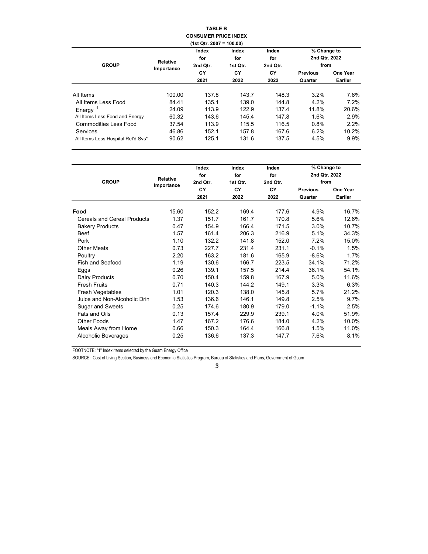#### **TABLE B CONSUMER PRICE INDEX (1st Qtr. 2007 = 100.00)**

| <b>GROUP</b>                       | <b>Relative</b> | Index<br>for<br>2nd Qtr. | Index<br>for<br>1st Qtr. | Index<br>for<br>2nd Qtr. | % Change to<br>2nd Qtr. 2022<br>from |                     |
|------------------------------------|-----------------|--------------------------|--------------------------|--------------------------|--------------------------------------|---------------------|
|                                    | Importance      | СY<br>2021               | СY<br>2022               | CY<br>2022               | <b>Previous</b><br>Quarter           | One Year<br>Earlier |
| All Items                          | 100.00          | 137.8                    | 143.7                    | 148.3                    | 3.2%                                 | 7.6%                |
| All Items Less Food                | 84.41           | 135.1                    | 139.0                    | 144.8                    | 4.2%                                 | $7.2\%$             |
| Energy <sup>1</sup>                | 24.09           | 113.9                    | 122.9                    | 137.4                    | 11.8%                                | 20.6%               |
| All Items Less Food and Energy     | 60.32           | 143.6                    | 145.4                    | 147.8                    | 1.6%                                 | 2.9%                |
| <b>Commodities Less Food</b>       | 37.54           | 113.9                    | 115.5                    | 116.5                    | 0.8%                                 | 2.2%                |
| Services                           | 46.86           | 152.1                    | 157.8                    | 167.6                    | 6.2%                                 | 10.2%               |
| All Items Less Hospital Rel'd Svs* | 90.62           | 125.1                    | 131.6                    | 137.5                    | 4.5%                                 | 9.9%                |

|                                    | <b>Relative</b> | Index<br>for   |                | Index<br>for   | % Change to<br>2nd Qtr. 2022 |                |
|------------------------------------|-----------------|----------------|----------------|----------------|------------------------------|----------------|
| <b>GROUP</b>                       | Importance      | 2nd Qtr.<br>CY | 1st Qtr.<br>CY | 2nd Qtr.<br>CY | from<br><b>Previous</b>      | One Year       |
|                                    |                 | 2021           | 2022           | 2022           | Quarter                      | <b>Earlier</b> |
| Food                               | 15.60           | 152.2          | 169.4          | 177.6          | 4.9%                         | 16.7%          |
| <b>Cereals and Cereal Products</b> | 1.37            | 151.7          | 161.7          | 170.8          | 5.6%                         | 12.6%          |
| <b>Bakery Products</b>             | 0.47            | 154.9          | 166.4          | 171.5          | 3.0%                         | 10.7%          |
| <b>Beef</b>                        | 1.57            | 161.4          | 206.3          | 216.9          | 5.1%                         | 34.3%          |
| Pork                               | 1.10            | 132.2          | 141.8          | 152.0          | 7.2%                         | 15.0%          |
| <b>Other Meats</b>                 | 0.73            | 227.7          | 231.4          | 231.1          | $-0.1%$                      | 1.5%           |
| Poultry                            | 2.20            | 163.2          | 181.6          | 165.9          | $-8.6%$                      | 1.7%           |
| Fish and Seafood                   | 1.19            | 130.6          | 166.7          | 223.5          | 34.1%                        | 71.2%          |
| Eggs                               | 0.26            | 139.1          | 157.5          | 214.4          | 36.1%                        | 54.1%          |
| Dairy Products                     | 0.70            | 150.4          | 159.8          | 167.9          | 5.0%                         | 11.6%          |
| <b>Fresh Fruits</b>                | 0.71            | 140.3          | 144.2          | 149.1          | 3.3%                         | 6.3%           |
| Fresh Vegetables                   | 1.01            | 120.3          | 138.0          | 145.8          | 5.7%                         | 21.2%          |
| Juice and Non-Alcoholic Drin       | 1.53            | 136.6          | 146.1          | 149.8          | 2.5%                         | 9.7%           |
| Sugar and Sweets                   | 0.25            | 174.6          | 180.9          | 179.0          | $-1.1%$                      | 2.5%           |
| Fats and Oils                      | 0.13            | 157.4          | 229.9          | 239.1          | 4.0%                         | 51.9%          |
| Other Foods                        | 1.47            | 167.2          | 176.6          | 184.0          | 4.2%                         | 10.0%          |
| Meals Away from Home               | 0.66            | 150.3          | 164.4          | 166.8          | 1.5%                         | 11.0%          |
| Alcoholic Beverages                | 0.25            | 136.6          | 137.3          | 147.7          | 7.6%                         | 8.1%           |

FOOTNOTE: "1" Index items selected by the Guam Energy Office

SOURCE: Cost of Living Section, Business and Economic Statistics Program, Bureau of Statistics and Plans, Government of Guam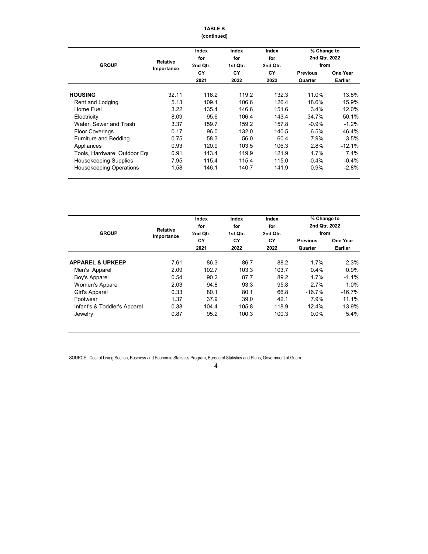# **TABLE B**

| (continued) |
|-------------|
|-------------|

| <b>GROUP</b>                   | <b>Relative</b> | Index<br>for<br>2nd Qtr. | Index<br>for<br>1st Qtr. | Index<br>for<br>2nd Qtr. | % Change to<br>2nd Qtr. 2022<br>from |                            |
|--------------------------------|-----------------|--------------------------|--------------------------|--------------------------|--------------------------------------|----------------------------|
|                                | Importance      | CY<br>2021               | CY<br>2022               | CY<br>2022               | <b>Previous</b><br>Quarter           | One Year<br><b>Earlier</b> |
| <b>HOUSING</b>                 | 32.11           | 116.2                    | 119.2                    | 132.3                    | 11.0%                                | 13.8%                      |
| Rent and Lodging               | 5.13            | 109.1                    | 106.6                    | 126.4                    | 18.6%                                | 15.9%                      |
| Home Fuel                      | 3.22            | 135.4                    | 146.6                    | 151.6                    | 3.4%                                 | 12.0%                      |
| Electricity                    | 8.09            | 95.6                     | 106.4                    | 143.4                    | 34.7%                                | 50.1%                      |
| Water, Sewer and Trash         | 3.37            | 159.7                    | 159.2                    | 157.8                    | $-0.9%$                              | $-1.2%$                    |
| <b>Floor Coverings</b>         | 0.17            | 96.0                     | 132.0                    | 140.5                    | 6.5%                                 | 46.4%                      |
| Furniture and Bedding          | 0.75            | 58.3                     | 56.0                     | 60.4                     | 7.9%                                 | 3.5%                       |
| Appliances                     | 0.93            | 120.9                    | 103.5                    | 106.3                    | 2.8%                                 | $-12.1%$                   |
| Tools, Hardware, Outdoor Equ   | 0.91            | 113.4                    | 119.9                    | 121.9                    | 1.7%                                 | 7.4%                       |
| Housekeeping Supplies          | 7.95            | 115.4                    | 115.4                    | 115.0                    | $-0.4%$                              | $-0.4%$                    |
| <b>Housekeeping Operations</b> | 1.58            | 146.1                    | 140.7                    | 141.9                    | 0.9%                                 | $-2.8%$                    |

| <b>GROUP</b>                 | <b>Relative</b> | Index<br>for<br>2nd Qtr. | Index<br>for<br>1st Qtr. | Index<br>for<br>2nd Qtr. | % Change to<br>2nd Qtr. 2022<br>from |                            |
|------------------------------|-----------------|--------------------------|--------------------------|--------------------------|--------------------------------------|----------------------------|
|                              | Importance      | CY<br>2021               | CY<br>2022               | CY<br>2022               | <b>Previous</b><br>Quarter           | One Year<br><b>Earlier</b> |
| <b>APPAREL &amp; UPKEEP</b>  | 7.61            | 86.3                     | 86.7                     | 88.2                     | 1.7%                                 | 2.3%                       |
| Men's Apparel                | 2.09            | 102.7                    | 103.3                    | 103.7                    | $0.4\%$                              | 0.9%                       |
| Boy's Apparel                | 0.54            | 90.2                     | 87.7                     | 89.2                     | 1.7%                                 | $-1.1%$                    |
| Women's Apparel              | 2.03            | 94.8                     | 93.3                     | 95.8                     | 2.7%                                 | 1.0%                       |
| Girl's Apparel               | 0.33            | 80.1                     | 80.1                     | 66.8                     | $-16.7%$                             | $-16.7%$                   |
| Footwear                     | 1.37            | 37.9                     | 39.0                     | 42.1                     | 7.9%                                 | 11.1%                      |
| Infant's & Toddler's Apparel | 0.38            | 104.4                    | 105.8                    | 118.9                    | 12.4%                                | 13.9%                      |
| Jewelry                      | 0.87            | 95.2                     | 100.3                    | 100.3                    | $0.0\%$                              | 5.4%                       |

SOURCE: Cost of Living Section, Business and Economic Statistics Program, Bureau of Statistics and Plans, Government of Guam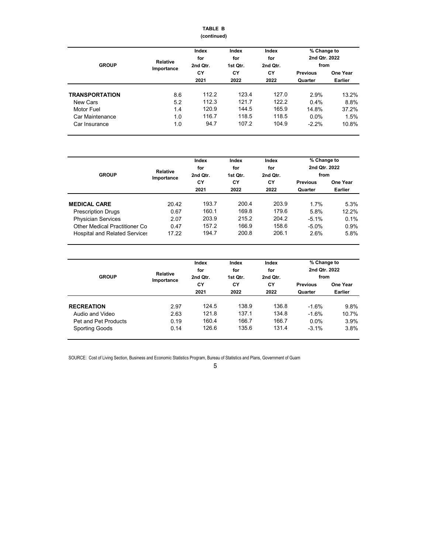#### **TABLE B (continued)**

| <b>GROUP</b>                      | Relative<br>Importance | Index<br>for<br>2nd Qtr. | Index<br>for<br>1st Qtr. | Index<br>for<br>2nd Qtr. | % Change to<br>2nd Qtr. 2022<br>from |                 |
|-----------------------------------|------------------------|--------------------------|--------------------------|--------------------------|--------------------------------------|-----------------|
|                                   |                        | CY                       | CY                       | CY                       | <b>Previous</b>                      | <b>One Year</b> |
|                                   |                        | 2021                     | 2022                     | 2022                     | Quarter                              | <b>Earlier</b>  |
| <b>TRANSPORTATION</b><br>New Cars | 8.6<br>5.2             | 112.2<br>112.3           | 123.4<br>121.7           | 127.0<br>122.2           | 2.9%<br>$0.4\%$                      | 13.2%<br>8.8%   |
| <b>Motor Fuel</b>                 | 1.4                    | 120.9                    | 144.5                    | 165.9                    | 14.8%                                | 37.2%           |
| Car Maintenance<br>Car Insurance  | 1.0<br>1.0             | 116.7<br>94.7            | 118.5<br>107.2           | 118.5<br>104.9           | $0.0\%$<br>$-2.2%$                   | 1.5%<br>10.8%   |

| <b>GROUP</b>                         | <b>Relative</b> | Index<br>for<br>2nd Qtr. | Index<br>for<br>1st Qtr. | Index<br>for<br>2nd Qtr. | % Change to<br>2nd Qtr. 2022<br>from |                |  |
|--------------------------------------|-----------------|--------------------------|--------------------------|--------------------------|--------------------------------------|----------------|--|
|                                      | Importance      | CY                       |                          | CY                       | <b>Previous</b>                      | One Year       |  |
|                                      |                 | 2021                     | 2022                     | 2022                     | Quarter                              | <b>Earlier</b> |  |
| <b>MEDICAL CARE</b>                  | 20.42           | 193.7                    | 200.4                    | 203.9                    | 1.7%                                 | 5.3%           |  |
| <b>Prescription Drugs</b>            | 0.67            | 160.1                    | 169.8                    | 179.6                    | 5.8%                                 | $12.2\%$       |  |
| <b>Physician Services</b>            | 2.07            | 203.9                    | 215.2                    | 204.2                    | $-5.1%$                              | $0.1\%$        |  |
| Other Medical Practitioner Co.       | 0.47            | 157.2                    | 166.9                    | 158.6                    | $-5.0%$                              | $0.9\%$        |  |
| <b>Hospital and Related Services</b> | 17.22           | 194.7                    | 200.8                    | 206.1                    | 2.6%                                 | 5.8%           |  |

| <b>GROUP</b>          | Relative   | Index<br>for<br>2nd Qtr. | Index<br>for<br>1st Qtr.<br>СY<br>2022 | Index<br>for<br>2nd Qtr.<br>СY<br>2022 | % Change to<br>2nd Qtr. 2022<br>from |                            |
|-----------------------|------------|--------------------------|----------------------------------------|----------------------------------------|--------------------------------------|----------------------------|
|                       | Importance | CY<br>2021               |                                        |                                        | <b>Previous</b><br>Quarter           | One Year<br><b>Earlier</b> |
| <b>RECREATION</b>     | 2.97       | 124.5                    | 138.9                                  | 136.8                                  | $-1.6%$                              | 9.8%                       |
| Audio and Video       | 2.63       | 121.8                    | 137.1                                  | 134.8                                  | $-1.6%$                              | 10.7%                      |
| Pet and Pet Products  | 0.19       | 160.4                    | 166.7                                  | 166.7                                  | $0.0\%$                              | 3.9%                       |
| <b>Sporting Goods</b> | 0.14       | 126.6                    | 135.6                                  | 131.4                                  | $-3.1%$                              | 3.8%                       |

SOURCE: Cost of Living Section, Business and Economic Statistics Program, Bureau of Statistics and Plans, Government of Guam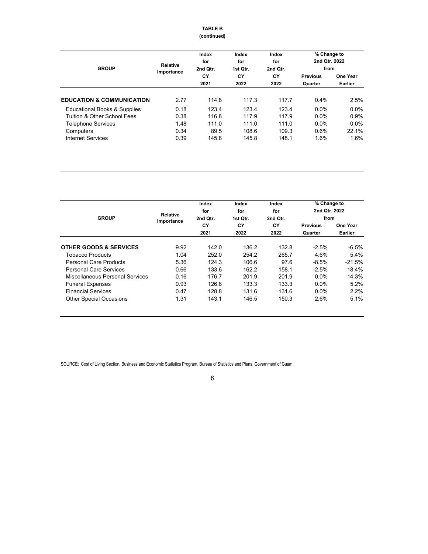# **TABLE B**

# **(continued)**

| <b>GROUP</b>                            | <b>Relative</b><br>Importance | Index<br>for<br>2nd Qtr. | Index<br>for<br>1st Qtr. | Index<br>for<br>2nd Qtr. | % Change to<br>2nd Qtr. 2022<br>from |                                                                           |
|-----------------------------------------|-------------------------------|--------------------------|--------------------------|--------------------------|--------------------------------------|---------------------------------------------------------------------------|
|                                         |                               | CY<br>2021               | CY<br>2022               | CY<br>2022               | <b>Previous</b><br>Quarter           | One Year<br><b>Earlier</b><br>2.5%<br>$0.0\%$<br>0.9%<br>$0.0\%$<br>22.1% |
| <b>EDUCATION &amp; COMMUNICATION</b>    | 2.77                          | 114.8                    | 117.3                    | 117.7                    | 0.4%                                 |                                                                           |
| <b>Educational Books &amp; Supplies</b> | 0.18                          | 123.4                    | 123.4                    | 123.4                    | $0.0\%$                              |                                                                           |
| Tuition & Other School Fees             | 0.38                          | 116.8                    | 117.9                    | 117.9                    | $0.0\%$                              |                                                                           |
| <b>Telephone Services</b>               | 1.48                          | 111.0                    | 111.0                    | 111.0                    | $0.0\%$                              |                                                                           |
| Computers                               | 0.34                          | 89.5                     | 108.6                    | 109.3                    | 0.6%                                 |                                                                           |
| Internet Services                       | 0.39                          | 145.8                    | 145.8                    | 148.1                    | 1.6%                                 | 1.6%                                                                      |

| <b>GROUP</b>                      | <b>Relative</b><br>Importance | Index<br>for<br>2nd Qtr. | Index<br>for<br>1st Qtr. | Index<br>for<br>2nd Qtr. | % Change to<br>2nd Qtr. 2022<br>from |                                                                                             |
|-----------------------------------|-------------------------------|--------------------------|--------------------------|--------------------------|--------------------------------------|---------------------------------------------------------------------------------------------|
|                                   |                               | CY<br>2021               | СY<br>2022               | CY<br>2022               | <b>Previous</b><br>Quarter           | One Year<br><b>Earlier</b><br>$-6.5%$<br>5.4%<br>$-21.5%$<br>18.4%<br>14.3%<br>5.2%<br>2.2% |
| <b>OTHER GOODS &amp; SERVICES</b> | 9.92                          | 142.0                    | 136.2                    | 132.8                    | $-2.5%$                              |                                                                                             |
| <b>Tobacco Products</b>           | 1.04                          | 252.0                    | 254.2                    | 265.7                    | 4.6%                                 |                                                                                             |
| Personal Care Products            | 5.36                          | 124.3                    | 106.6                    | 97.6                     | $-8.5%$                              |                                                                                             |
| Personal Care Services            | 0.66                          | 133.6                    | 162.2                    | 158.1                    | $-2.5%$                              |                                                                                             |
| Miscellaneous Personal Services   | 0.16                          | 176.7                    | 201.9                    | 201.9                    | $0.0\%$                              |                                                                                             |
| <b>Funeral Expenses</b>           | 0.93                          | 126.8                    | 133.3                    | 133.3                    | $0.0\%$                              |                                                                                             |
| <b>Financial Services</b>         | 0.47                          | 128.8                    | 131.6                    | 131.6                    | $0.0\%$                              |                                                                                             |
| <b>Other Special Occasions</b>    | 1.31                          | 143.1                    | 146.5                    | 150.3                    | 2.6%                                 | 5.1%                                                                                        |

SOURCE: Cost of Living Section, Business and Economic Statistics Program, Bureau of Statistics and Plans, Government of Guam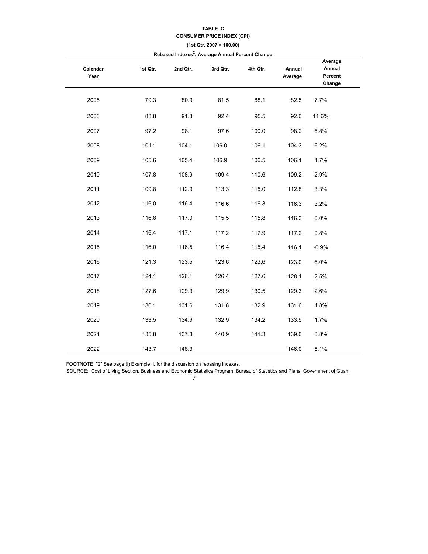## **TABLE C CONSUMER PRICE INDEX (CPI) (1st Qtr. 2007 = 100.00)**

| Rebased muexes , Average Annual Percent Change |          |          |          |          |                   |                                        |  |  |  |  |  |
|------------------------------------------------|----------|----------|----------|----------|-------------------|----------------------------------------|--|--|--|--|--|
| Calendar<br>Year                               | 1st Qtr. | 2nd Qtr. | 3rd Qtr. | 4th Qtr. | Annual<br>Average | Average<br>Annual<br>Percent<br>Change |  |  |  |  |  |
| 2005                                           | 79.3     | 80.9     | 81.5     | 88.1     | 82.5              | 7.7%                                   |  |  |  |  |  |
| 2006                                           | 88.8     | 91.3     | 92.4     | 95.5     | 92.0              | 11.6%                                  |  |  |  |  |  |
| 2007                                           | 97.2     | 98.1     | 97.6     | 100.0    | 98.2              | 6.8%                                   |  |  |  |  |  |
| 2008                                           | 101.1    | 104.1    | 106.0    | 106.1    | 104.3             | 6.2%                                   |  |  |  |  |  |
| 2009                                           | 105.6    | 105.4    | 106.9    | 106.5    | 106.1             | 1.7%                                   |  |  |  |  |  |
| 2010                                           | 107.8    | 108.9    | 109.4    | 110.6    | 109.2             | 2.9%                                   |  |  |  |  |  |
| 2011                                           | 109.8    | 112.9    | 113.3    | 115.0    | 112.8             | 3.3%                                   |  |  |  |  |  |
| 2012                                           | 116.0    | 116.4    | 116.6    | 116.3    | 116.3             | 3.2%                                   |  |  |  |  |  |
| 2013                                           | 116.8    | 117.0    | 115.5    | 115.8    | 116.3             | 0.0%                                   |  |  |  |  |  |
| 2014                                           | 116.4    | 117.1    | 117.2    | 117.9    | 117.2             | 0.8%                                   |  |  |  |  |  |
| 2015                                           | 116.0    | 116.5    | 116.4    | 115.4    | 116.1             | $-0.9%$                                |  |  |  |  |  |
| 2016                                           | 121.3    | 123.5    | 123.6    | 123.6    | 123.0             | 6.0%                                   |  |  |  |  |  |
| 2017                                           | 124.1    | 126.1    | 126.4    | 127.6    | 126.1             | 2.5%                                   |  |  |  |  |  |
| 2018                                           | 127.6    | 129.3    | 129.9    | 130.5    | 129.3             | 2.6%                                   |  |  |  |  |  |
| 2019                                           | 130.1    | 131.6    | 131.8    | 132.9    | 131.6             | 1.8%                                   |  |  |  |  |  |
| 2020                                           | 133.5    | 134.9    | 132.9    | 134.2    | 133.9             | 1.7%                                   |  |  |  |  |  |
| 2021                                           | 135.8    | 137.8    | 140.9    | 141.3    | 139.0             | 3.8%                                   |  |  |  |  |  |
| 2022                                           | 143.7    | 148.3    |          |          | 146.0             | 5.1%                                   |  |  |  |  |  |

#### **Rebased Indexes<sup>2</sup> , Average Annual Percent Change**

FOOTNOTE: "2" See page (i) Example II, for the discussion on rebasing indexes.

SOURCE: Cost of Living Section, Business and Economic Statistics Program, Bureau of Statistics and Plans, Government of Guam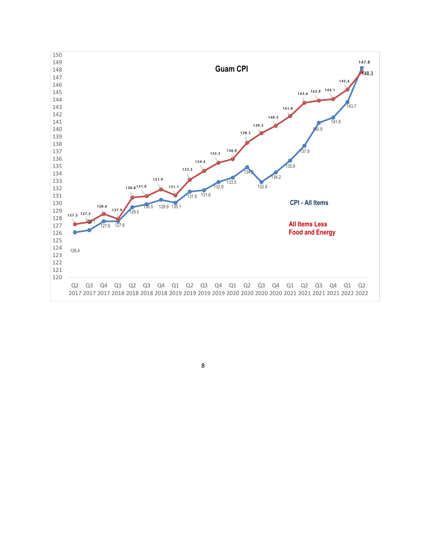

8